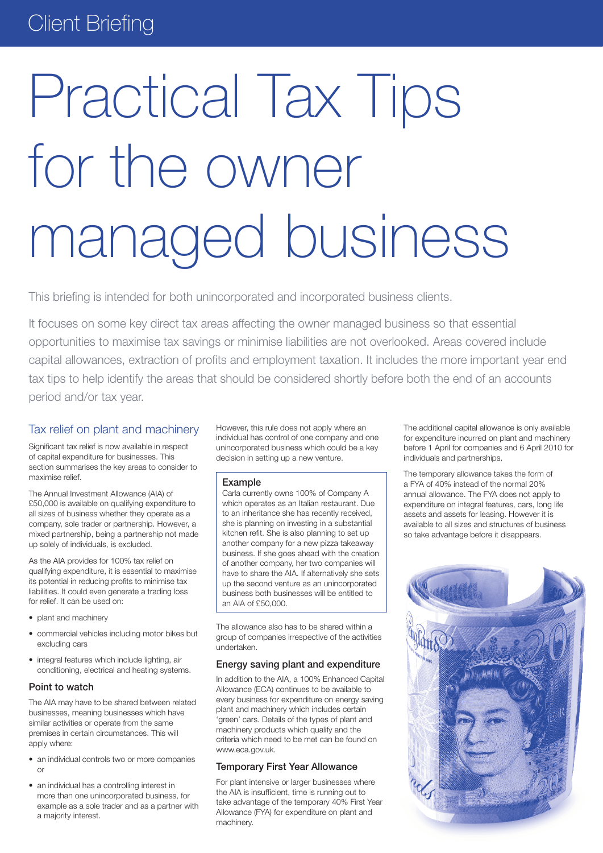# **Client Briefing**

# Practical Tax Tips for the owner managed business

This briefing is intended for both unincorporated and incorporated business clients.

It focuses on some key direct tax areas affecting the owner managed business so that essential opportunities to maximise tax savings or minimise liabilities are not overlooked. Areas covered include capital allowances, extraction of profits and employment taxation. It includes the more important year end tax tips to help identify the areas that should be considered shortly before both the end of an accounts period and/or tax year.

# Tax relief on plant and machinery

Significant tax relief is now available in respect of capital expenditure for businesses. This section summarises the key areas to consider to maximise relief.

The Annual Investment Allowance (AIA) of £50,000 is available on qualifying expenditure to all sizes of business whether they operate as a company, sole trader or partnership. However, a mixed partnership, being a partnership not made up solely of individuals, is excluded.

As the AIA provides for 100% tax relief on qualifying expenditure, it is essential to maximise its potential in reducing profits to minimise tax liabilities. It could even generate a trading loss for relief. It can be used on:

- plant and machinery
- • commercial vehicles including motor bikes but excluding cars
- integral features which include lighting, air conditioning, electrical and heating systems.

#### Point to watch

The AIA may have to be shared between related businesses, meaning businesses which have similar activities or operate from the same premises in certain circumstances. This will apply where:

- an individual controls two or more companies or
- an individual has a controlling interest in more than one unincorporated business, for example as a sole trader and as a partner with a majority interest.

However, this rule does not apply where an individual has control of one company and one unincorporated business which could be a key decision in setting up a new venture.

#### Example

Carla currently owns 100% of Company A which operates as an Italian restaurant. Due to an inheritance she has recently received, she is planning on investing in a substantial kitchen refit. She is also planning to set up another company for a new pizza takeaway business. If she goes ahead with the creation of another company, her two companies will have to share the AIA. If alternatively she sets up the second venture as an unincorporated business both businesses will be entitled to an AIA of £50,000.

The allowance also has to be shared within a group of companies irrespective of the activities undertaken.

#### Energy saving plant and expenditure

In addition to the AIA, a 100% Enhanced Capital Allowance (ECA) continues to be available to every business for expenditure on energy saving plant and machinery which includes certain 'green' cars. Details of the types of plant and machinery products which qualify and the criteria which need to be met can be found on www.eca.gov.uk.

#### Temporary First Year Allowance

For plant intensive or larger businesses where the AIA is insufficient, time is running out to take advantage of the temporary 40% First Year Allowance (FYA) for expenditure on plant and machinery.

The additional capital allowance is only available for expenditure incurred on plant and machinery before 1 April for companies and 6 April 2010 for individuals and partnerships.

The temporary allowance takes the form of a FYA of 40% instead of the normal 20% annual allowance. The FYA does not apply to expenditure on integral features, cars, long life assets and assets for leasing. However it is available to all sizes and structures of business so take advantage before it disappears.